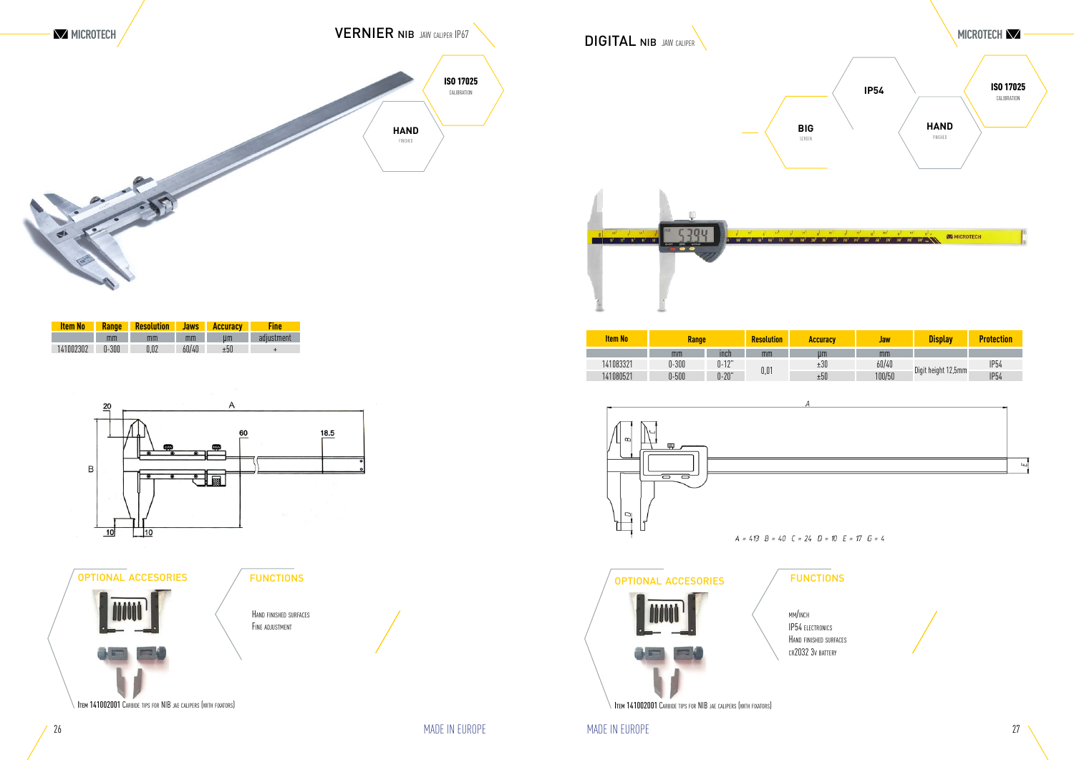

| ccuracy | <b>Jaw</b> | <b>Display</b>      | <b>Protection</b> |
|---------|------------|---------------------|-------------------|
| μm      | mm         |                     |                   |
| ±30     | 60/40      |                     | <b>IP54</b>       |
| ±50     | 100/50     | Digit height 12,5mm | <b>IP54</b>       |
|         |            |                     |                   |
|         |            |                     |                   |
|         |            |                     |                   |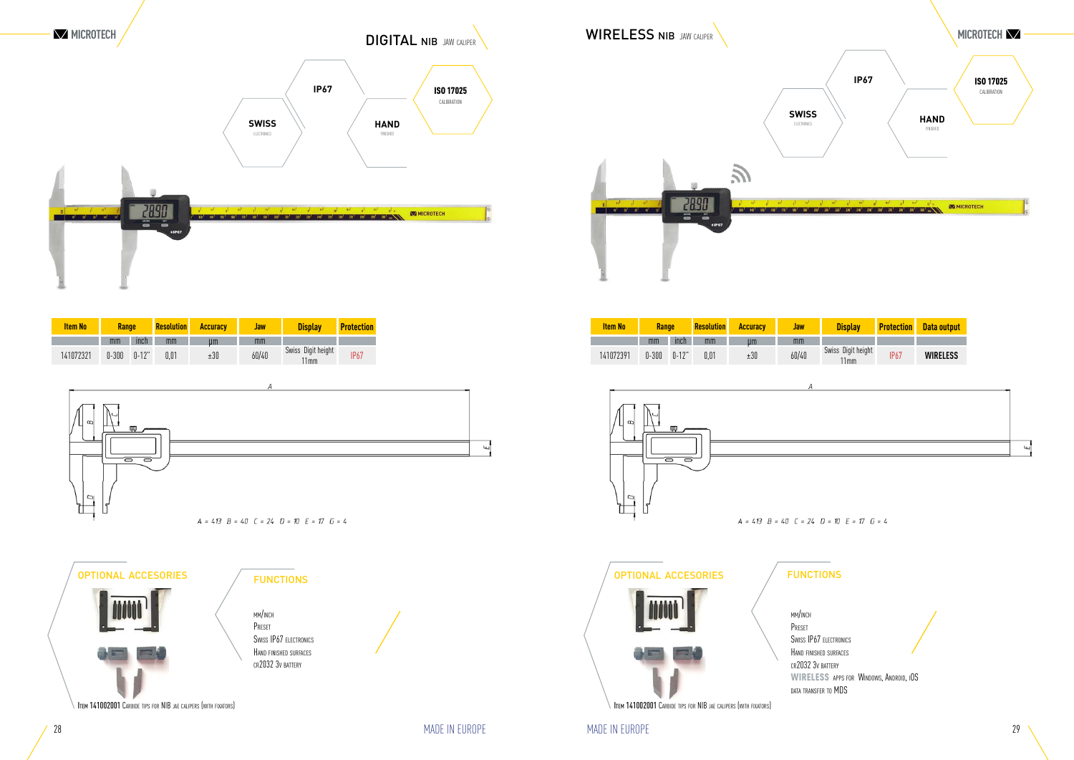# **DIGITAL NIB JAW CALIPER**

| <b>Item No</b> | Range   |           | <b>Resolution</b> | <b>Accuracy</b> | Jaw   | <b>Display</b>             | <b>Protection</b> | <b>Data output</b> |
|----------------|---------|-----------|-------------------|-----------------|-------|----------------------------|-------------------|--------------------|
|                | mm      | inch      | mm                | µm              | mm    |                            |                   |                    |
| 141072391      | $0-300$ | $0 - 12"$ | 0,01              | $\pm30$         | 60/40 | Swiss Digit height<br>11mm | <b>IP67</b>       | <b>WIRELESS</b>    |
| $\infty$       |         | щщ        | 100000000000      |                 | А     |                            |                   |                    |
|                |         |           |                   |                 |       |                            |                   |                    |
|                |         |           |                   |                 |       |                            |                   |                    |





| <b>Item No</b> | <b>Range</b> |          | <b>Resolution</b> | <b>Accuracy</b> | <b>Jaw</b> | <b>Display</b>                | <b>Protection</b> |
|----------------|--------------|----------|-------------------|-----------------|------------|-------------------------------|-------------------|
|                | mm           | ınch     | mm                | um              | mm         |                               |                   |
| 141072321      | $0-300$      | $0-12$ " | $0.01\,$          | ±30             | 60/40      | Swiss Digit height<br>$11$ mm | <b>IP67</b>       |





Item 141002001 Carbide tips for NIB jae calipers (with fixators)



mm/inch Preset



Swiss IP67 electronics Hand finished surfaces cr2032 3v battery WIRELESS APPS FOR WINDOWS, ANDROID, IOS data transfer to MDS